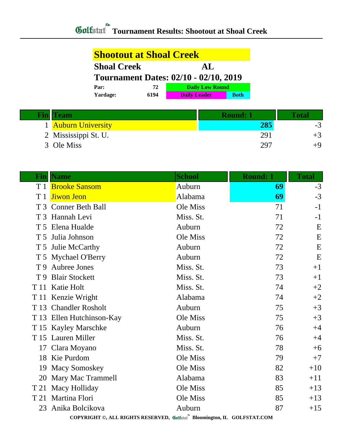| <b>Shootout at Shoal Creek</b>               |    |                        |  |  |
|----------------------------------------------|----|------------------------|--|--|
| <b>Shoal Creek</b>                           |    | AL                     |  |  |
| <b>Tournament Dates: 02/10 - 02/10, 2019</b> |    |                        |  |  |
|                                              |    |                        |  |  |
| Par:                                         | 72 | <b>Daily Low Round</b> |  |  |

| <b>Fin</b> Team      | <b>Round: 1</b> | Total |
|----------------------|-----------------|-------|
| 1 Auburn University  | 285             | - 2   |
| 2 Mississippi St. U. | 291             |       |
| 3 Ole Miss           | 297             |       |

|                                                                         | <b>Fin  Name</b>          | <b>School</b> | <b>Round: 1</b> | <b>Total</b> |  |  |
|-------------------------------------------------------------------------|---------------------------|---------------|-----------------|--------------|--|--|
|                                                                         | T 1 Brooke Sansom         | Auburn        | 69              | $-3$         |  |  |
| T1                                                                      | <b>Jiwon Jeon</b>         | Alabama       | 69              | $-3$         |  |  |
|                                                                         | T 3 Conner Beth Ball      | Ole Miss      | 71              | $-1$         |  |  |
|                                                                         | T 3 Hannah Levi           | Miss. St.     | 71              | $-1$         |  |  |
|                                                                         | T 5 Elena Hualde          | Auburn        | 72              | E            |  |  |
| T 5                                                                     | Julia Johnson             | Ole Miss      | 72              | E            |  |  |
|                                                                         | T 5 Julie McCarthy        | Auburn        | 72              | E            |  |  |
|                                                                         | T 5 Mychael O'Berry       | Auburn        | 72              | E            |  |  |
|                                                                         | T 9 Aubree Jones          | Miss. St.     | 73              | $+1$         |  |  |
| T 9                                                                     | <b>Blair Stockett</b>     | Miss. St.     | 73              | $+1$         |  |  |
| T 11                                                                    | Katie Holt                | Miss. St.     | 74              | $+2$         |  |  |
|                                                                         | T 11 Kenzie Wright        | Alabama       | 74              | $+2$         |  |  |
|                                                                         | T 13 Chandler Rosholt     | Auburn        | 75              | $+3$         |  |  |
|                                                                         | T 13 Ellen Hutchinson-Kay | Ole Miss      | 75              | $+3$         |  |  |
|                                                                         | T 15 Kayley Marschke      | Auburn        | 76              | $+4$         |  |  |
|                                                                         | T 15 Lauren Miller        | Miss. St.     | 76              | $+4$         |  |  |
|                                                                         | 17 Clara Moyano           | Miss. St.     | 78              | $+6$         |  |  |
|                                                                         | 18 Kie Purdom             | Ole Miss      | 79              | $+7$         |  |  |
| 19                                                                      | <b>Macy Somoskey</b>      | Ole Miss      | 82              | $+10$        |  |  |
| 20                                                                      | <b>Mary Mac Trammell</b>  | Alabama       | 83              | $+11$        |  |  |
| T 21                                                                    | Macy Holliday             | Ole Miss      | 85              | $+13$        |  |  |
| T 21                                                                    | Martina Flori             | Ole Miss      | 85              | $+13$        |  |  |
| 23                                                                      | Anika Bolcikova           | Auburn        | 87              | $+15$        |  |  |
| COPYRIGHT ©, ALL RIGHTS RESERVED, Golfstat Bloomington, IL GOLFSTAT.COM |                           |               |                 |              |  |  |